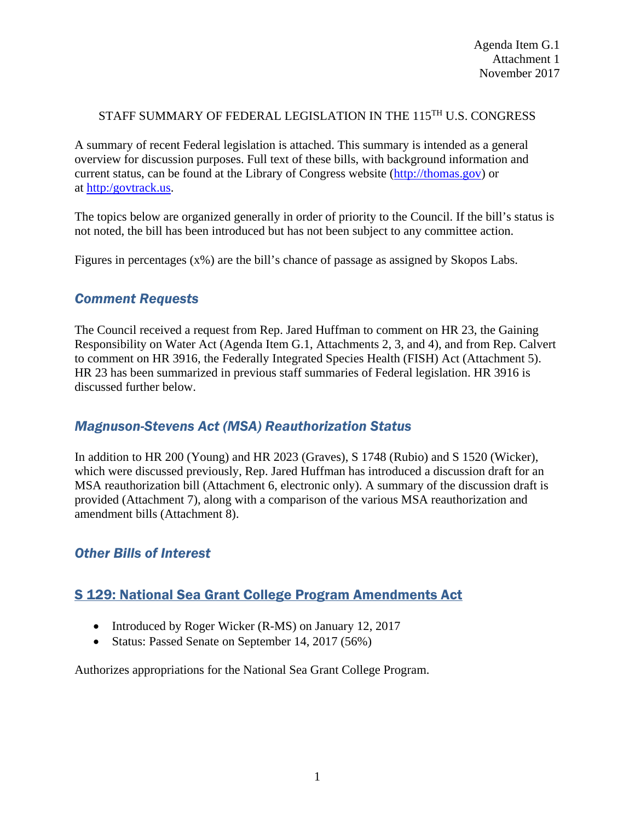#### STAFF SUMMARY OF FEDERAL LEGISLATION IN THE 115TH U.S. CONGRESS

A summary of recent Federal legislation is attached. This summary is intended as a general overview for discussion purposes. Full text of these bills, with background information and current status, can be found at the Library of Congress website [\(http://thomas.gov\)](http://thomas.gov/) or at [http:/govtrack.us.](http://govtrack.us/)

The topics below are organized generally in order of priority to the Council. If the bill's status is not noted, the bill has been introduced but has not been subject to any committee action.

Figures in percentages (x%) are the bill's chance of passage as assigned by Skopos Labs.

#### *Comment Requests*

The Council received a request from Rep. Jared Huffman to comment on HR 23, the Gaining Responsibility on Water Act (Agenda Item G.1, Attachments 2, 3, and 4), and from Rep. Calvert to comment on HR 3916, the Federally Integrated Species Health (FISH) Act (Attachment 5). HR 23 has been summarized in previous staff summaries of Federal legislation. HR 3916 is discussed further below.

#### *Magnuson-Stevens Act (MSA) Reauthorization Status*

In addition to HR 200 (Young) and HR 2023 (Graves), S 1748 (Rubio) and S 1520 (Wicker), which were discussed previously, Rep. Jared Huffman has introduced a discussion draft for an MSA reauthorization bill (Attachment 6, electronic only). A summary of the discussion draft is provided (Attachment 7), along with a comparison of the various MSA reauthorization and amendment bills (Attachment 8).

#### *Other Bills of Interest*

### S 129: National Sea Grant College Program Amendments Act

- Introduced by Roger Wicker (R-MS) on January 12, 2017
- Status: Passed Senate on September 14, 2017 (56%)

Authorizes appropriations for the National Sea Grant College Program.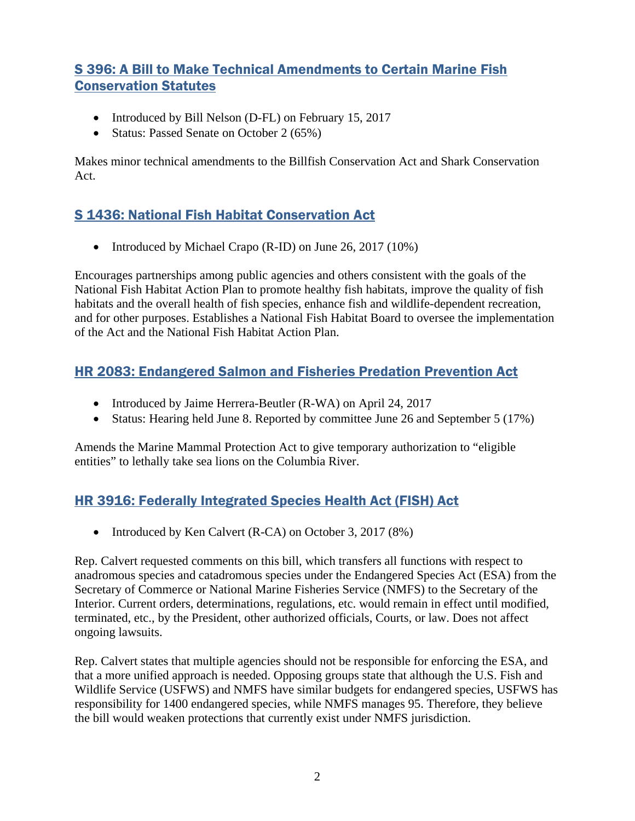### S 396: A Bill to Make Technical Amendments to Certain Marine Fish Conservation Statutes

- Introduced by Bill Nelson (D-FL) on February 15, 2017
- Status: Passed Senate on October 2 (65%)

Makes minor technical amendments to the Billfish Conservation Act and Shark Conservation Act.

### S 1436: National Fish Habitat Conservation Act

• Introduced by Michael Crapo (R-ID) on June 26, 2017 (10%)

Encourages partnerships among public agencies and others consistent with the goals of the National Fish Habitat Action Plan to promote healthy fish habitats, improve the quality of fish habitats and the overall health of fish species, enhance fish and wildlife-dependent recreation, and for other purposes. Establishes a National Fish Habitat Board to oversee the implementation of the Act and the National Fish Habitat Action Plan.

# HR 2083: Endangered Salmon and Fisheries Predation Prevention Act

- Introduced by Jaime Herrera-Beutler (R-WA) on April 24, 2017
- Status: Hearing held June 8. Reported by committee June 26 and September 5 (17%)

Amends the Marine Mammal Protection Act to give temporary authorization to "eligible entities" to lethally take sea lions on the Columbia River.

# HR 3916: Federally Integrated Species Health Act (FISH) Act

• Introduced by Ken Calvert (R-CA) on October 3, 2017 (8%)

Rep. Calvert requested comments on this bill, which transfers all functions with respect to anadromous species and catadromous species under the Endangered Species Act (ESA) from the Secretary of Commerce or National Marine Fisheries Service (NMFS) to the Secretary of the Interior. Current orders, determinations, regulations, etc. would remain in effect until modified, terminated, etc., by the President, other authorized officials, Courts, or law. Does not affect ongoing lawsuits.

Rep. Calvert states that multiple agencies should not be responsible for enforcing the ESA, and that a more unified approach is needed. Opposing groups state that although the U.S. Fish and Wildlife Service (USFWS) and NMFS have similar budgets for endangered species, USFWS has responsibility for 1400 endangered species, while NMFS manages 95. Therefore, they believe the bill would weaken protections that currently exist under NMFS jurisdiction.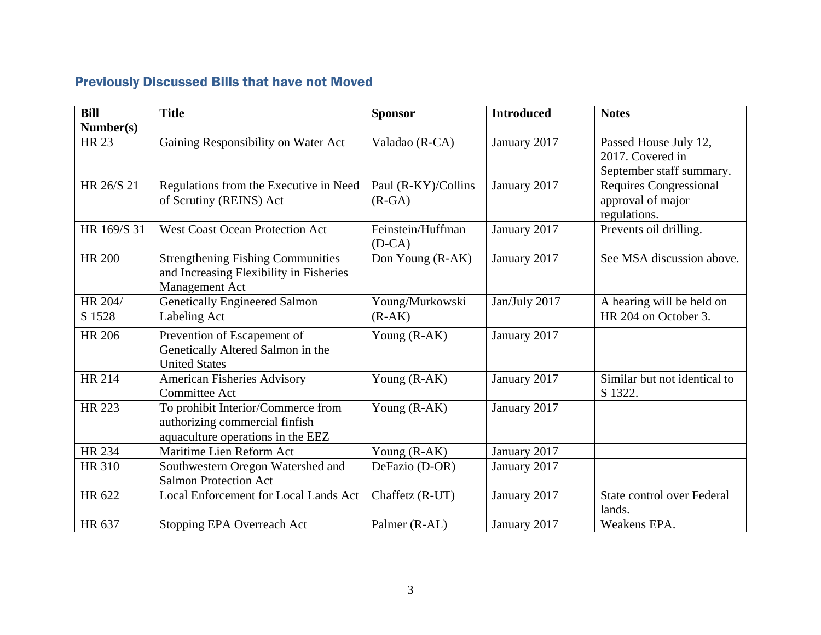# Previously Discussed Bills that have not Moved

| Bill                      | <b>Title</b>                                                                                              | <b>Sponsor</b>                  | <b>Introduced</b> | <b>Notes</b>                                                          |
|---------------------------|-----------------------------------------------------------------------------------------------------------|---------------------------------|-------------------|-----------------------------------------------------------------------|
| Number(s)<br><b>HR 23</b> | Gaining Responsibility on Water Act                                                                       | Valadao (R-CA)                  | January 2017      | Passed House July 12,<br>2017. Covered in<br>September staff summary. |
| HR 26/S 21                | Regulations from the Executive in Need<br>of Scrutiny (REINS) Act                                         | Paul (R-KY)/Collins<br>$(R-GA)$ | January 2017      | <b>Requires Congressional</b><br>approval of major<br>regulations.    |
| HR 169/S 31               | <b>West Coast Ocean Protection Act</b>                                                                    | Feinstein/Huffman<br>$(D-CA)$   | January 2017      | Prevents oil drilling.                                                |
| <b>HR 200</b>             | <b>Strengthening Fishing Communities</b><br>and Increasing Flexibility in Fisheries<br>Management Act     | Don Young (R-AK)                | January 2017      | See MSA discussion above.                                             |
| HR 204/<br>S 1528         | <b>Genetically Engineered Salmon</b><br>Labeling Act                                                      | Young/Murkowski<br>$(R-AK)$     | Jan/July 2017     | A hearing will be held on<br>HR 204 on October 3.                     |
| <b>HR 206</b>             | Prevention of Escapement of<br>Genetically Altered Salmon in the<br><b>United States</b>                  | Young (R-AK)                    | January 2017      |                                                                       |
| <b>HR 214</b>             | <b>American Fisheries Advisory</b><br><b>Committee Act</b>                                                | Young (R-AK)                    | January 2017      | Similar but not identical to<br>S 1322.                               |
| <b>HR 223</b>             | To prohibit Interior/Commerce from<br>authorizing commercial finfish<br>aquaculture operations in the EEZ | Young (R-AK)                    | January 2017      |                                                                       |
| HR 234                    | Maritime Lien Reform Act                                                                                  | Young (R-AK)                    | January 2017      |                                                                       |
| <b>HR 310</b>             | Southwestern Oregon Watershed and<br><b>Salmon Protection Act</b>                                         | DeFazio (D-OR)                  | January 2017      |                                                                       |
| HR 622                    | Local Enforcement for Local Lands Act                                                                     | Chaffetz (R-UT)                 | January 2017      | State control over Federal<br>lands.                                  |
| HR 637                    | Stopping EPA Overreach Act                                                                                | Palmer (R-AL)                   | January 2017      | Weakens EPA.                                                          |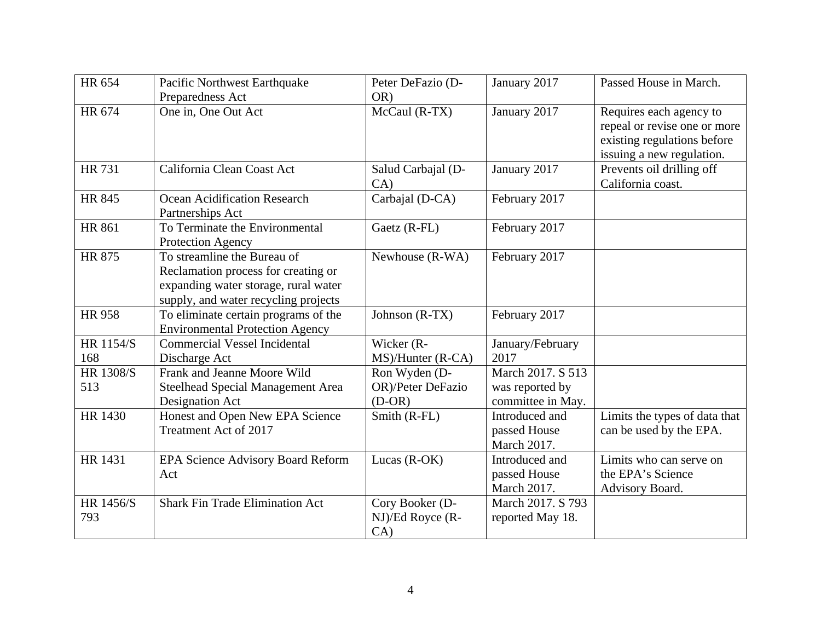| HR 654           | Pacific Northwest Earthquake<br>Preparedness Act                                                                                                   | Peter DeFazio (D-<br>OR)                       | January 2017                                              | Passed House in March.                                                                                              |
|------------------|----------------------------------------------------------------------------------------------------------------------------------------------------|------------------------------------------------|-----------------------------------------------------------|---------------------------------------------------------------------------------------------------------------------|
| HR 674           | One in, One Out Act                                                                                                                                | McCaul (R-TX)                                  | January 2017                                              | Requires each agency to<br>repeal or revise one or more<br>existing regulations before<br>issuing a new regulation. |
| <b>HR 731</b>    | California Clean Coast Act                                                                                                                         | Salud Carbajal (D-<br>CA)                      | January 2017                                              | Prevents oil drilling off<br>California coast.                                                                      |
| <b>HR 845</b>    | <b>Ocean Acidification Research</b><br>Partnerships Act                                                                                            | Carbajal (D-CA)                                | February 2017                                             |                                                                                                                     |
| <b>HR 861</b>    | To Terminate the Environmental<br>Protection Agency                                                                                                | Gaetz (R-FL)                                   | February 2017                                             |                                                                                                                     |
| <b>HR 875</b>    | To streamline the Bureau of<br>Reclamation process for creating or<br>expanding water storage, rural water<br>supply, and water recycling projects | Newhouse (R-WA)                                | February 2017                                             |                                                                                                                     |
| <b>HR 958</b>    | To eliminate certain programs of the<br><b>Environmental Protection Agency</b>                                                                     | Johnson (R-TX)                                 | February 2017                                             |                                                                                                                     |
| HR 1154/S<br>168 | <b>Commercial Vessel Incidental</b><br>Discharge Act                                                                                               | Wicker (R-<br>MS)/Hunter (R-CA)                | January/February<br>2017                                  |                                                                                                                     |
| HR 1308/S<br>513 | Frank and Jeanne Moore Wild<br>Steelhead Special Management Area<br>Designation Act                                                                | Ron Wyden (D-<br>OR)/Peter DeFazio<br>$(D-OR)$ | March 2017. S 513<br>was reported by<br>committee in May. |                                                                                                                     |
| HR 1430          | Honest and Open New EPA Science<br>Treatment Act of 2017                                                                                           | Smith (R-FL)                                   | Introduced and<br>passed House<br>March 2017.             | Limits the types of data that<br>can be used by the EPA.                                                            |
| HR 1431          | EPA Science Advisory Board Reform<br>Act                                                                                                           | Lucas (R-OK)                                   | Introduced and<br>passed House<br>March 2017.             | Limits who can serve on<br>the EPA's Science<br>Advisory Board.                                                     |
| HR 1456/S<br>793 | <b>Shark Fin Trade Elimination Act</b>                                                                                                             | Cory Booker (D-<br>NJ)/Ed Royce (R-<br>CA)     | March 2017. S 793<br>reported May 18.                     |                                                                                                                     |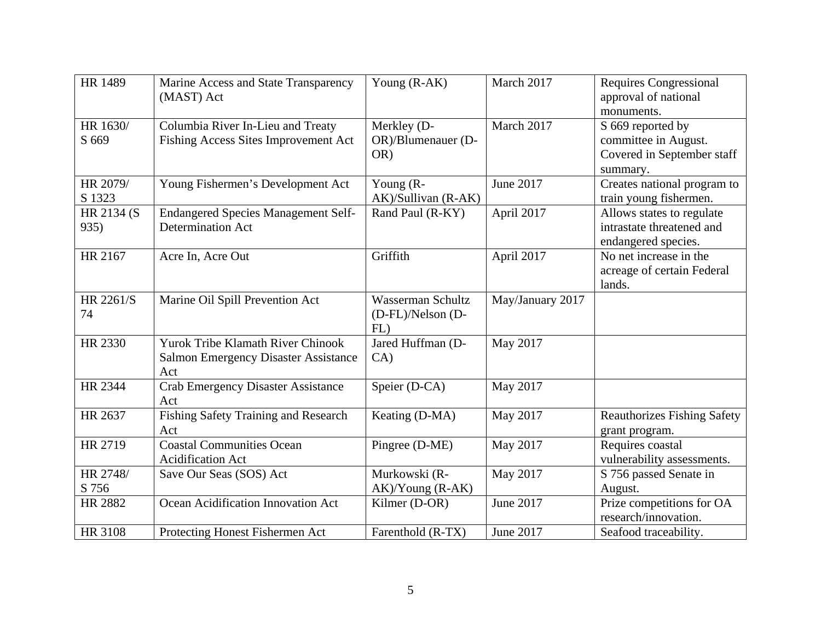| <b>HR 1489</b>      | Marine Access and State Transparency<br>(MAST) Act                                             | Young (R-AK)                                  | March 2017       | <b>Requires Congressional</b><br>approval of national<br>monuments.                 |
|---------------------|------------------------------------------------------------------------------------------------|-----------------------------------------------|------------------|-------------------------------------------------------------------------------------|
| HR 1630/<br>S 669   | Columbia River In-Lieu and Treaty<br>Fishing Access Sites Improvement Act                      | Merkley (D-<br>OR)/Blumenauer (D-<br>OR)      | March 2017       | S 669 reported by<br>committee in August.<br>Covered in September staff<br>summary. |
| HR 2079/<br>S 1323  | Young Fishermen's Development Act                                                              | Young $(R -$<br>AK)/Sullivan (R-AK)           | June 2017        | Creates national program to<br>train young fishermen.                               |
| HR 2134 (S)<br>935) | <b>Endangered Species Management Self-</b><br>Determination Act                                | Rand Paul (R-KY)                              | April 2017       | Allows states to regulate<br>intrastate threatened and<br>endangered species.       |
| HR 2167             | Acre In, Acre Out                                                                              | Griffith                                      | April 2017       | No net increase in the<br>acreage of certain Federal<br>lands.                      |
| HR 2261/S<br>74     | Marine Oil Spill Prevention Act                                                                | Wasserman Schultz<br>(D-FL)/Nelson (D-<br>FL) | May/January 2017 |                                                                                     |
| HR 2330             | <b>Yurok Tribe Klamath River Chinook</b><br><b>Salmon Emergency Disaster Assistance</b><br>Act | Jared Huffman (D-<br>CA)                      | May 2017         |                                                                                     |
| HR 2344             | <b>Crab Emergency Disaster Assistance</b><br>Act                                               | Speier (D-CA)                                 | May 2017         |                                                                                     |
| HR 2637             | Fishing Safety Training and Research<br>Act                                                    | Keating (D-MA)                                | May 2017         | <b>Reauthorizes Fishing Safety</b><br>grant program.                                |
| HR 2719             | <b>Coastal Communities Ocean</b><br><b>Acidification Act</b>                                   | Pingree (D-ME)                                | May 2017         | Requires coastal<br>vulnerability assessments.                                      |
| HR 2748/<br>S 756   | Save Our Seas (SOS) Act                                                                        | Murkowski (R-<br>$AK)/Young (R-AK)$           | May 2017         | S 756 passed Senate in<br>August.                                                   |
| HR 2882             | Ocean Acidification Innovation Act                                                             | Kilmer (D-OR)                                 | June 2017        | Prize competitions for OA<br>research/innovation.                                   |
| <b>HR 3108</b>      | Protecting Honest Fishermen Act                                                                | Farenthold (R-TX)                             | June 2017        | Seafood traceability.                                                               |